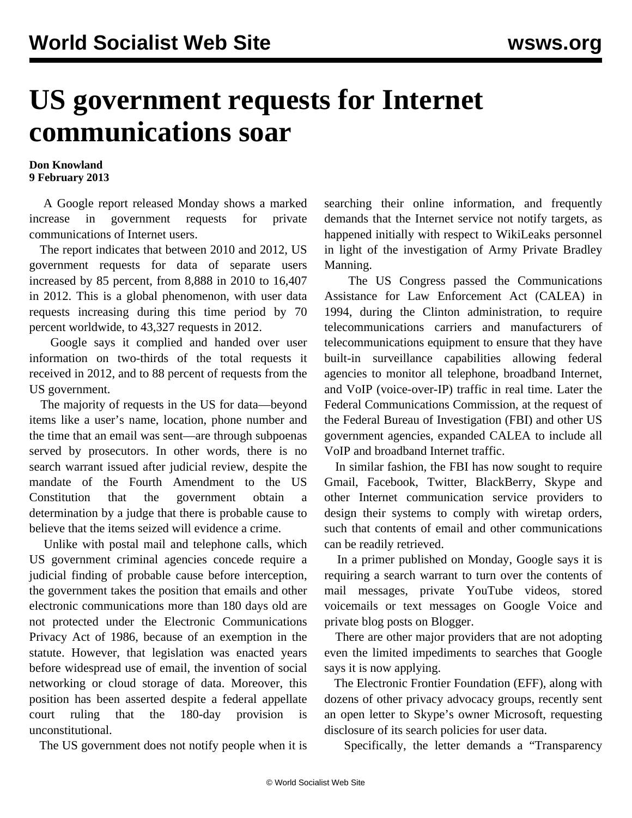## **US government requests for Internet communications soar**

## **Don Knowland 9 February 2013**

 A Google report released Monday shows a marked increase in government requests for private communications of Internet users.

 The report indicates that between 2010 and 2012, US government requests for data of separate users increased by 85 percent, from 8,888 in 2010 to 16,407 in 2012. This is a global phenomenon, with user data requests increasing during this time period by 70 percent worldwide, to 43,327 requests in 2012.

 Google says it complied and handed over user information on two-thirds of the total requests it received in 2012, and to 88 percent of requests from the US government.

 The majority of requests in the US for data—beyond items like a user's name, location, phone number and the time that an email was sent—are through subpoenas served by prosecutors. In other words, there is no search warrant issued after judicial review, despite the mandate of the Fourth Amendment to the US Constitution that the government obtain a determination by a judge that there is probable cause to believe that the items seized will evidence a crime.

 Unlike with postal mail and telephone calls, which US government criminal agencies concede require a judicial finding of probable cause before interception, the government takes the position that emails and other electronic communications more than 180 days old are not protected under the Electronic Communications Privacy Act of 1986, because of an exemption in the statute. However, that legislation was enacted years before widespread use of email, the invention of social networking or cloud storage of data. Moreover, this position has been asserted despite a federal appellate court ruling that the 180-day provision is unconstitutional.

The US government does not notify people when it is

searching their online information, and frequently demands that the Internet service not notify targets, as happened initially with respect to WikiLeaks personnel in light of the investigation of Army Private Bradley Manning.

 The US Congress passed the Communications Assistance for Law Enforcement Act (CALEA) in 1994, during the Clinton administration, to require telecommunications carriers and manufacturers of telecommunications equipment to ensure that they have built-in surveillance capabilities allowing federal agencies to monitor all telephone, broadband Internet, and VoIP (voice-over-IP) traffic in real time. Later the Federal Communications Commission, at the request of the Federal Bureau of Investigation (FBI) and other US government agencies, expanded CALEA to include all VoIP and broadband Internet traffic.

 In similar fashion, the FBI has now sought to require Gmail, Facebook, Twitter, BlackBerry, Skype and other Internet communication service providers to design their systems to comply with wiretap orders, such that contents of email and other communications can be readily retrieved.

 In a primer published on Monday, Google says it is requiring a search warrant to turn over the contents of mail messages, private YouTube videos, stored voicemails or text messages on Google Voice and private blog posts on Blogger.

 There are other major providers that are not adopting even the limited impediments to searches that Google says it is now applying.

 The Electronic Frontier Foundation (EFF), along with dozens of other privacy advocacy groups, recently sent an open letter to Skype's owner Microsoft, requesting disclosure of its search policies for user data.

Specifically, the letter demands a "Transparency